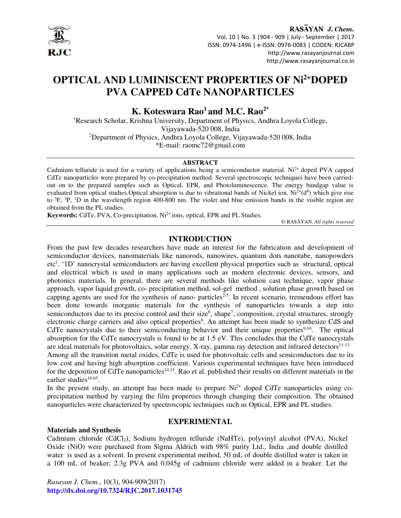

RASAYAN J. Chem. Vol. 10 | No. 3 |904 - 909 | July - September | 2017 ISSN: 0974-1496 | e-ISSN: 0976-0083 | CODEN: RJCABP http://www.rasayanjournal.com http://www.rasayanjournal.co.in

# **OPTICAL AND LUMINISCENT PROPERTIES OF Ni2+DOPED PVA CAPPED CdTe NANOPARTICLES**

# **K. Koteswara Rao<sup>1</sup>and M.C. Rao2\***

<sup>1</sup>Research Scholar, Krishna University, Department of Physics, Andhra Loyola College, Vijayawada-520 008, India <sup>2</sup>Department of Physics, Andhra Loyola College, Vijayawada-520 008, India \*E-mail: raomc72@gmail.com

#### **ABSTRACT**

Cadmium telluride is used for a variety of applications being a semiconductor material. Ni<sup>2+</sup> doped PVA capped CdTe nanoparticles were prepared by co-precipitation method. Several spectroscopic techniques have been carriedout on to the prepared samples such as Optical, EPR, and Photoluminescence. The energy bandgap value is evaluated from optical studies. Optical absorption is due to vibrational bands of Nickel ion,  $Ni^{2+}(d^8)$  which give rise to  ${}^{3}F$ ,  ${}^{3}P$ ,  ${}^{1}D$  in the wavelength region 400-800 nm. The violet and blue emission bands in the visible region are obtained from the PL studies.

Keywords: CdTe, PVA, Co-precipitation, Ni<sup>2+</sup> ions, optical, EPR and PL Studies.

© RASĀYAN. *All rights reserved*

## **INTRODUCTION**

From the past few decades researchers have made an interest for the fabrication and development of semiconductor devices, nanomaterials like nanorods, nanowires, quantum dots nanotube, nanopowders etc<sup>1</sup>. '1D' nanocrystal semiconductors are having excellent physical properties such as structural, optical and electrical which is used in many applications such as modern electronic devices, sensors, and photonics materials. In general, there are several methods like solution cast technique, vapor phase approach, vapor liquid growth, co- precipitation method, sol-gel method , solution phase growth based on capping agents are used for the synthesis of nano- particles<sup>2-5</sup>. In recent scenario, tremendous effort has been done towards inorganic materials for the synthesis of nanoparticles towards a step into semiconductors due to its precise control and their size<sup>6</sup>, shape<sup>7</sup>, composition, crystal structures, strongly electronic charge carriers and also optical properties<sup>8</sup>. An attempt has been made to synthesize CdS and CdTe nanocrystals due to their semiconducting behavior and their unique properties<sup>9,10</sup>. The optical absorption for the CdTe nanocrystals is found to be at 1.5 eV. This concludes that the CdTe nanocrystals are ideal materials for photovoltaics, solar energy, X-ray, gamma ray detection and infrared detectors<sup>11-13.</sup> Among all the transition metal oxides, CdTe is used for photovoltaic cells and semiconductors due to its low cost and having high absorption coefficient. Various experimental techniques have been introduced for the deposition of CdTe nanoparticles<sup>14,15</sup>. Rao et al. published their results on different materials in the earlier studies<sup>16-65</sup>.

In the present study, an attempt has been made to prepare  $Ni<sup>2+</sup>$  doped CdTe nanoparticles using coprecipitation method by varying the film properties through changing their composition. The obtained nanoparticles were characterized by spectroscopic techniques such as Optical, EPR and PL studies.

## **EXPERIMENTAL**

### **Materials and Synthesis**

Cadmium chloride (CdCl<sub>2</sub>), Sodium hydrogen telluride (NaHTe), polyvinyl alcohol (PVA), Nickel Oxide (NiO) were purchased from Sigma Aldrich with 98% purity Ltd., India ,and double distilled water is used as a solvent. In present experimental method, 50 mL of double distilled water is taken in a 100 mL of beaker; 2.3g PVA and 0.045g of cadmium chloride were added in a beaker. Let the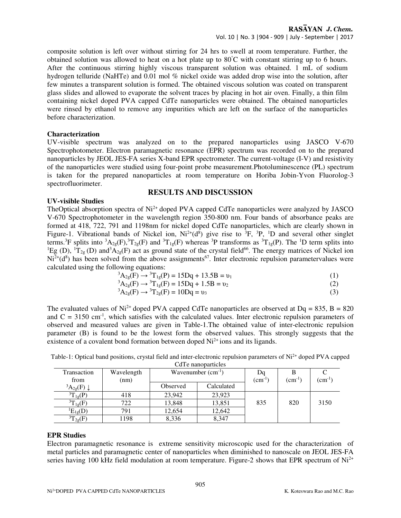composite solution is left over without stirring for 24 hrs to swell at room temperature. Further, the obtained solution was allowed to heat on a hot plate up to 80°C with constant stirring up to 6 hours. After the continuous stirring highly viscous transparent solution was obtained. 1 mL of sodium hydrogen telluride (NaHTe) and 0.01 mol % nickel oxide was added drop wise into the solution, after few minutes a transparent solution is formed. The obtained viscous solution was coated on transparent glass slides and allowed to evaporate the solvent traces by placing in hot air oven. Finally, a thin film containing nickel doped PVA capped CdTe nanoparticles were obtained. The obtained nanoparticles were rinsed by ethanol to remove any impurities which are left on the surface of the nanoparticles before characterization.

## **Characterization**

UV-visible spectrum was analyzed on to the prepared nanoparticles using JASCO V-670 Spectrophotometer. Electron paramagnetic resonance (EPR) spectrum was recorded on to the prepared nanoparticles by JEOL JES-FA series X-band EPR spectrometer. The current-voltage (I-V) and resistivity of the nanoparticles were studied using four-point probe measurement.Photoluminescence (PL) spectrum is taken for the prepared nanoparticles at room temperature on Horiba Jobin-Yvon Fluorolog-3 spectrofluorimeter.

# **RESULTS AND DISCUSSION**

## **UV-visible Studies**

TheOptical absorption spectra of Ni<sup>2+</sup> doped PVA capped CdTe nanoparticles were analyzed by JASCO V-670 Spectrophotometer in the wavelength region 350-800 nm. Four bands of absorbance peaks are formed at 418, 722, 791 and 1198nm for nickel doped CdTe nanoparticles, which are clearly shown in Figure-1. Vibrational bands of Nickel ion,  $Ni^{2+}(d^8)$  give rise to <sup>3</sup>F, <sup>3</sup>P, <sup>1</sup>D and several other singlet terms.<sup>3</sup>F splits into  ${}^3A_{2g}(F)$ ,  ${}^3T_{2g}(F)$  and  ${}^3T_{1g}(F)$  whereas  ${}^3P$  transforms as  ${}^3T_{1g}(P)$ . The <sup>1</sup>D term splits into <sup>1</sup>Eg (D), <sup>1</sup> $T_{2g}$  (D) and<sup>3</sup> $A_{2g}$ (F) act as ground state of the crystal field<sup>66</sup>. The energy matrices of Nickel ion  $Ni<sup>2+</sup>(d<sup>8</sup>)$  has been solved from the above assignments<sup>67</sup>. Inter electronic repulsion parametervalues were calculated using the following equations:

$$
{}^{3}A_{2g}(F) \rightarrow {}^{3}T_{1g}(P) = 15Dq + 13.5B = v_1
$$
 (1)

$$
{}^{3}A_{2g}(F) \rightarrow {}^{3}T_{1g}(F) = 15Dq + 1.5B = v_2
$$
 (2)

 ${}^{3}A_{2g}(F) \rightarrow {}^{3}T_{2g}(F) = 10Dq = v_3$  (3)

The evaluated values of  $Ni^{2+}$  doped PVA capped CdTe nanoparticles are observed at Dq = 835, B = 820 and  $C = 3150$  cm<sup>-1</sup>, which satisfies with the calculated values. Inter electronic repulsion parameters of observed and measured values are given in Table-1.The obtained value of inter-electronic repulsion parameter (B) is found to be the lowest form the observed values. This strongly suggests that the existence of a covalent bond formation between doped  $Ni<sup>2+</sup>$  ions and its ligands.

| CdTe nanoparticles |            |                        |            |                 |                 |                                     |
|--------------------|------------|------------------------|------------|-----------------|-----------------|-------------------------------------|
| Transaction        | Wavelength | Wavenumber $(cm^{-1})$ |            | Dq              |                 |                                     |
| from               | (nm)       |                        |            | $\rm (cm^{-1})$ | $\rm (cm^{-1})$ | $\rm \left( cm^{\text{-}1} \right)$ |
| ${}^3A_{2g}(F)$    |            | Observed               | Calculated |                 |                 |                                     |
| ${}^{3}T_{1g}(P)$  | 418        | 23,942                 | 23.923     |                 |                 |                                     |
| ${}^{3}T_{1g}(F)$  | 722        | 13,848                 | 13,851     | 835             | 820             | 3150                                |
| ${}^{1}E_{1g}(D)$  | 791        | 12,654                 | 12,642     |                 |                 |                                     |
| ${}^{3}T_{2g}(F)$  | 1198       | 8,336                  | 8,347      |                 |                 |                                     |

Table-1: Optical band positions, crystal field and inter-electronic repulsion parameters of Ni<sup>2+</sup> doped PVA capped

### **EPR Studies**

Electron paramagnetic resonance is extreme sensitivity microscopic used for the characterization of metal particles and paramagnetic center of nanoparticles when diminished to nanoscale on JEOL JES-FA series having 100 kHz field modulation at room temperature. Figure-2 shows that EPR spectrum of  $Ni<sup>2+</sup>$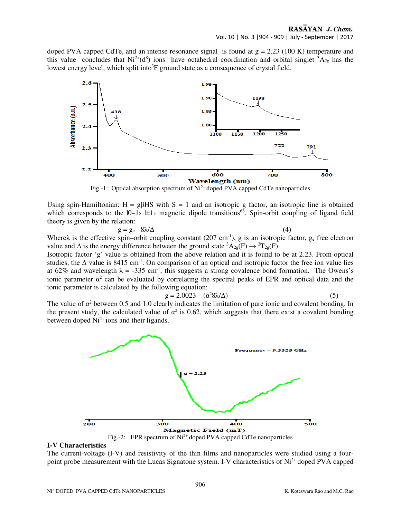doped PVA capped CdTe, and an intense resonance signal is found at  $g = 2.23$  (100 K) temperature and this value concludes that  $Ni^{2+}(d^8)$  ions have octahedral coordination and orbital singlet  ${}^3A_{2g}$  has the lowest energy level, which split into<sup>3</sup>F ground state as a consequence of crystal field.



Fig.-1: Optical absorption spectrum of  $Ni^{2+}$  doped PVA capped CdTe nanoparticles

Using spin-Hamiltonian:  $H = g\beta HS$  with  $S = 1$  and an isotropic g factor, an isotropic line is obtained which corresponds to the  $|0-1\rangle \pm 1\rangle$  magnetic dipole transitions<sup>68</sup>. Spin-orbit coupling of ligand field theory is given by the relation:

$$
g = g_e - 8\lambda/\Delta \tag{4}
$$

Where $\lambda$  is the effective spin–orbit coupling constant (207 cm<sup>-1</sup>), g is an isotropic factor,  $g_e$  free electron value and  $\Delta$  is the energy difference between the ground state  ${}^3A_{2g}(F) \rightarrow {}^3T_{2g}(F)$ .

Isotropic factor 'g' value is obtained from the above relation and it is found to be at 2.23. From optical studies, the  $\Delta$  value is 8415 cm<sup>-1</sup>. On comparison of an optical and isotropic factor the free ion value lies at 62% and wavelength  $\lambda = -335$  cm<sup>-1</sup>, this suggests a strong covalence bond formation. The Owens's ionic parameter  $\alpha^2$  can be evaluated by correlating the spectral peaks of EPR and optical data and the ionic parameter is calculated by the following equation:

$$
g = 2.0023 - (\alpha^2 8\lambda/\Delta) \tag{5}
$$

The value of  $\alpha^2$  between 0.5 and 1.0 clearly indicates the limitation of pure ionic and covalent bonding. In the present study, the calculated value of  $\alpha^2$  is 0.62, which suggests that there exist a covalent bonding between doped  $Ni<sup>2+</sup> ions$  and their ligands.



### **I-V Characteristics**

The current-voltage (I-V) and resistivity of the thin films and nanoparticles were studied using a fourpoint probe measurement with the Lucas Signatone system. I-V characteristics of Ni<sup>2+</sup> doped PVA capped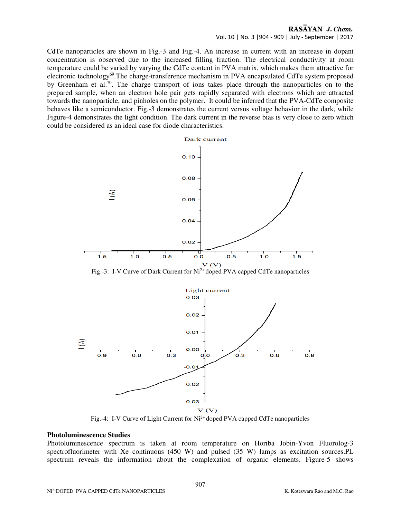## RASAYAN J. Chem.

Vol. 10 | No. 3 |904 - 909 | July - September | 2017

CdTe nanoparticles are shown in Fig.-3 and Fig.-4. An increase in current with an increase in dopant concentration is observed due to the increased filling fraction. The electrical conductivity at room temperature could be varied by varying the CdTe content in PVA matrix, which makes them attractive for electronic technology<sup>69</sup>. The charge-transference mechanism in PVA encapsulated CdTe system proposed by Greenham et al.<sup>70</sup>. The charge transport of ions takes place through the nanoparticles on to the prepared sample, when an electron hole pair gets rapidly separated with electrons which are attracted towards the nanoparticle, and pinholes on the polymer. It could be inferred that the PVA-CdTe composite behaves like a semiconductor. Fig.-3 demonstrates the current versus voltage behavior in the dark, while Figure-4 demonstrates the light condition. The dark current in the reverse bias is very close to zero which could be considered as an ideal case for diode characteristics.





Fig.-4: I-V Curve of Light Current for Ni<sup>2+</sup> doped PVA capped CdTe nanoparticles

#### **Photoluminescence Studies**

Photoluminescence spectrum is taken at room temperature on Horiba Jobin-Yvon Fluorolog-3 spectrofluorimeter with Xe continuous (450 W) and pulsed (35 W) lamps as excitation sources.PL spectrum reveals the information about the complexation of organic elements. Figure-5 shows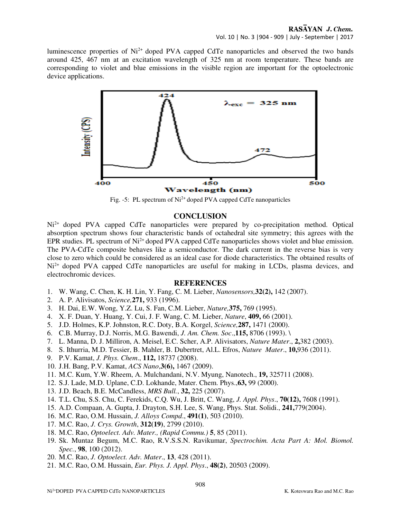luminescence properties of  $Ni<sup>2+</sup>$  doped PVA capped CdTe nanoparticles and observed the two bands around 425, 467 nm at an excitation wavelength of 325 nm at room temperature. These bands are corresponding to violet and blue emissions in the visible region are important for the optoelectronic device applications.



Fig. -5: PL spectrum of  $Ni^{2+}$  doped PVA capped CdTe nanoparticles

# **CONCLUSION**

Ni<sup>2+</sup> doped PVA capped CdTe nanoparticles were prepared by co-precipitation method. Optical absorption spectrum shows four characteristic bands of octahedral site symmetry; this agrees with the EPR studies. PL spectrum of Ni<sup>2+</sup> doped PVA capped CdTe nanoparticles shows violet and blue emission. The PVA-CdTe composite behaves like a semiconductor. The dark current in the reverse bias is very close to zero which could be considered as an ideal case for diode characteristics. The obtained results of Ni<sup>2+</sup> doped PVA capped CdTe nanoparticles are useful for making in LCDs, plasma devices, and electrochromic devices.

# **REFERENCES**

- 1. W. Wang, C. Chen, K. H. Lin, Y. Fang, C. M. Lieber, *Nanosensors,***32(2),** 142 (2007).
- 2. A. P. Alivisatos, *Science,***271,** 933 (1996).
- 3. H. Dai, E.W. Wong, Y.Z. Lu, S. Fan, C.M. Lieber, *Nature,***375,** 769 (1995).
- 4. X. F. Duan, Y. Huang, Y. Cui, J. F. Wang, C. M. Lieber, *Nature*, **409,** 66 (2001).
- 5. J.D. Holmes, K.P. Johnston, R.C. Doty, B.A. Korgel, *Science,***287,** 1471 (2000).
- 6. C.B. Murray, D.J. Norris, M.G. Bawendi, *J. Am. Chem. Soc*.,**115,** 8706 (1993). \
- 7. L. Manna, D. J. Milliron, A. Meisel, E.C. Scher, A.P. Alivisators, *Nature Mater*., **2,**382 (2003).
- 8. S. Ithurria, M.D. Tessier, B. Mahler, B. Dubertret, Al.L. Efros, *Nature Mater*., **10,**936 (2011).
- 9. P.V. Kamat, *J. Phys. Chem*., **112,** 18737 (2008).
- 10. J.H. Bang, P.V. Kamat, *ACS Nano*,**3(6),** 1467 (2009).
- 11. M.C. Kum, Y.W. Rheem, A. Mulchandani, N.V. Myung, Nanotech., **19,** 325711 (2008).
- 12. S.J. Lade, M.D. Uplane, C.D. Lokhande, Mater. Chem. Phys.,**63,** 99 (2000).
- 13. J.D. Beach, B.E. McCandless, *MRS Bull.*, **32,** 225 (2007).
- 14. T.L. Chu, S.S. Chu, C. Ferekids, C.Q. Wu, J. Britt, C. Wang, *J. Appl. Phys*., **70(12),** 7608 (1991).
- 15. A.D. Compaan, A. Gupta, J. Drayton, S.H. Lee, S. Wang, Phys. Stat. Solidi., **241,**779(2004).
- 16. M.C. Rao, O.M. Hussain, *J. Alloys Compd*., **491(1)**, 503 (2010).
- 17. M.C. Rao, *J. Crys. Growth*, **312(19)**, 2799 (2010).
- 18. M.C. Rao, *Optoelect. Adv. Mater., (Rapid Commu.)* **5**, 85 (2011).
- 19. Sk. Muntaz Begum, M.C. Rao, R.V.S.S.N. Ravikumar, *Spectrochim. Acta Part A: Mol. Biomol. Spec.*, **98**, 100 (2012).
- 20. M.C. Rao, *J. Optoelect. Adv. Mater*., **13**, 428 (2011).
- 21. M.C. Rao, O.M. Hussain, *Eur. Phys. J. Appl. Phys*., **48(2)**, 20503 (2009).